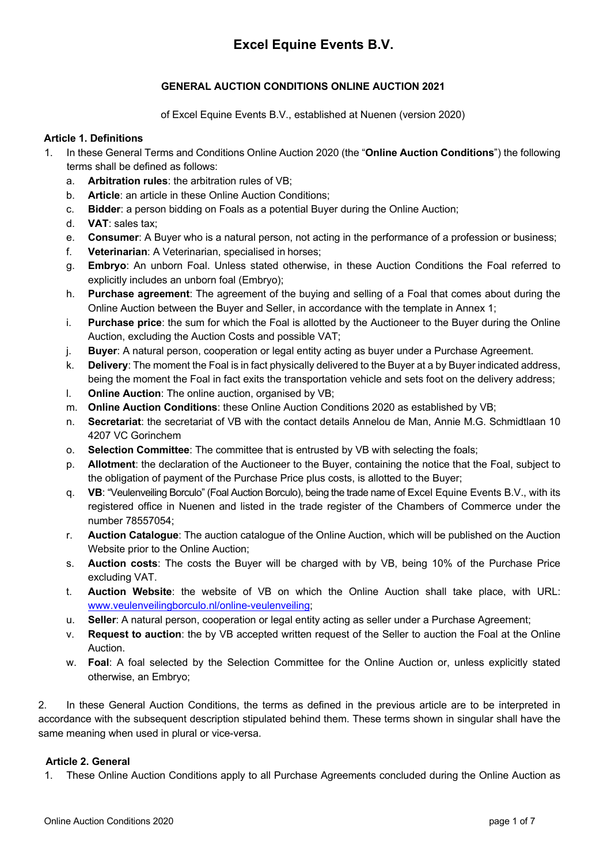# **Excel Equine Events B.V.**

# **GENERAL AUCTION CONDITIONS ONLINE AUCTION 2021**

of Excel Equine Events B.V., established at Nuenen (version 2020)

#### **Article 1. Definitions**

- 1. In these General Terms and Conditions Online Auction 2020 (the "**Online Auction Conditions**") the following terms shall be defined as follows:
	- a. **Arbitration rules**: the arbitration rules of VB;
	- b. **Article**: an article in these Online Auction Conditions;
	- c. **Bidder**: a person bidding on Foals as a potential Buyer during the Online Auction;
	- d. **VAT**: sales tax;
	- e. **Consumer**: A Buyer who is a natural person, not acting in the performance of a profession or business;
	- f. **Veterinarian**: A Veterinarian, specialised in horses;
	- g. **Embryo**: An unborn Foal. Unless stated otherwise, in these Auction Conditions the Foal referred to explicitly includes an unborn foal (Embryo);
	- h. **Purchase agreement**: The agreement of the buying and selling of a Foal that comes about during the Online Auction between the Buyer and Seller, in accordance with the template in Annex 1;
	- i. **Purchase price**: the sum for which the Foal is allotted by the Auctioneer to the Buyer during the Online Auction, excluding the Auction Costs and possible VAT;
	- j. **Buyer**: A natural person, cooperation or legal entity acting as buyer under a Purchase Agreement.
	- k. **Delivery**: The moment the Foal is in fact physically delivered to the Buyer at a by Buyer indicated address, being the moment the Foal in fact exits the transportation vehicle and sets foot on the delivery address;
	- l. **Online Auction**: The online auction, organised by VB;
	- m. **Online Auction Conditions**: these Online Auction Conditions 2020 as established by VB;
	- n. **Secretariat**: the secretariat of VB with the contact details Annelou de Man, Annie M.G. Schmidtlaan 10 4207 VC Gorinchem
	- o. **Selection Committee**: The committee that is entrusted by VB with selecting the foals;
	- p. **Allotment**: the declaration of the Auctioneer to the Buyer, containing the notice that the Foal, subject to the obligation of payment of the Purchase Price plus costs, is allotted to the Buyer;
	- q. **VB**: "Veulenveiling Borculo" (Foal Auction Borculo), being the trade name of Excel Equine Events B.V., with its registered office in Nuenen and listed in the trade register of the Chambers of Commerce under the number 78557054;
	- r. **Auction Catalogue**: The auction catalogue of the Online Auction, which will be published on the Auction Website prior to the Online Auction;
	- s. **Auction costs**: The costs the Buyer will be charged with by VB, being 10% of the Purchase Price excluding VAT.
	- t. **Auction Website**: the website of VB on which the Online Auction shall take place, with URL: www.veulenveilingborculo.nl/online-veulenveiling;
	- u. **Seller**: A natural person, cooperation or legal entity acting as seller under a Purchase Agreement;
	- v. **Request to auction**: the by VB accepted written request of the Seller to auction the Foal at the Online Auction.
	- w. **Foal**: A foal selected by the Selection Committee for the Online Auction or, unless explicitly stated otherwise, an Embryo;

2. In these General Auction Conditions, the terms as defined in the previous article are to be interpreted in accordance with the subsequent description stipulated behind them. These terms shown in singular shall have the same meaning when used in plural or vice-versa.

## **Article 2. General**

1. These Online Auction Conditions apply to all Purchase Agreements concluded during the Online Auction as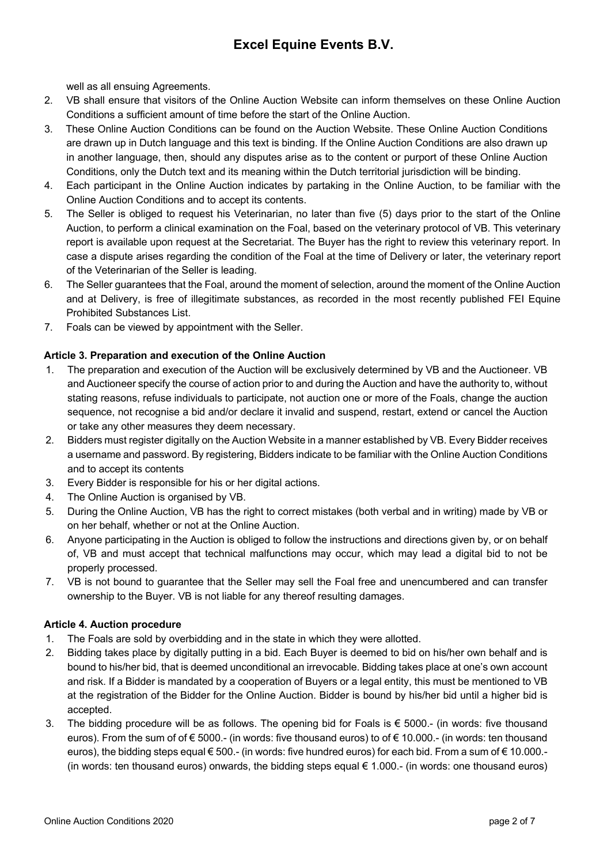well as all ensuing Agreements.

- 2. VB shall ensure that visitors of the Online Auction Website can inform themselves on these Online Auction Conditions a sufficient amount of time before the start of the Online Auction.
- 3. These Online Auction Conditions can be found on the Auction Website. These Online Auction Conditions are drawn up in Dutch language and this text is binding. If the Online Auction Conditions are also drawn up in another language, then, should any disputes arise as to the content or purport of these Online Auction Conditions, only the Dutch text and its meaning within the Dutch territorial jurisdiction will be binding.
- 4. Each participant in the Online Auction indicates by partaking in the Online Auction, to be familiar with the Online Auction Conditions and to accept its contents.
- 5. The Seller is obliged to request his Veterinarian, no later than five (5) days prior to the start of the Online Auction, to perform a clinical examination on the Foal, based on the veterinary protocol of VB. This veterinary report is available upon request at the Secretariat. The Buyer has the right to review this veterinary report. In case a dispute arises regarding the condition of the Foal at the time of Delivery or later, the veterinary report of the Veterinarian of the Seller is leading.
- 6. The Seller guarantees that the Foal, around the moment of selection, around the moment of the Online Auction and at Delivery, is free of illegitimate substances, as recorded in the most recently published FEI Equine Prohibited Substances List.
- 7. Foals can be viewed by appointment with the Seller.

## **Article 3. Preparation and execution of the Online Auction**

- 1. The preparation and execution of the Auction will be exclusively determined by VB and the Auctioneer. VB and Auctioneer specify the course of action prior to and during the Auction and have the authority to, without stating reasons, refuse individuals to participate, not auction one or more of the Foals, change the auction sequence, not recognise a bid and/or declare it invalid and suspend, restart, extend or cancel the Auction or take any other measures they deem necessary.
- 2. Bidders must register digitally on the Auction Website in a manner established by VB. Every Bidder receives a username and password. By registering, Bidders indicate to be familiar with the Online Auction Conditions and to accept its contents
- 3. Every Bidder is responsible for his or her digital actions.
- 4. The Online Auction is organised by VB.
- 5. During the Online Auction, VB has the right to correct mistakes (both verbal and in writing) made by VB or on her behalf, whether or not at the Online Auction.
- 6. Anyone participating in the Auction is obliged to follow the instructions and directions given by, or on behalf of, VB and must accept that technical malfunctions may occur, which may lead a digital bid to not be properly processed.
- 7. VB is not bound to guarantee that the Seller may sell the Foal free and unencumbered and can transfer ownership to the Buyer. VB is not liable for any thereof resulting damages.

## **Article 4. Auction procedure**

- 1. The Foals are sold by overbidding and in the state in which they were allotted.
- 2. Bidding takes place by digitally putting in a bid. Each Buyer is deemed to bid on his/her own behalf and is bound to his/her bid, that is deemed unconditional an irrevocable. Bidding takes place at one's own account and risk. If a Bidder is mandated by a cooperation of Buyers or a legal entity, this must be mentioned to VB at the registration of the Bidder for the Online Auction. Bidder is bound by his/her bid until a higher bid is accepted.
- 3. The bidding procedure will be as follows. The opening bid for Foals is € 5000.- (in words: five thousand euros). From the sum of of € 5000.- (in words: five thousand euros) to of € 10.000.- (in words: ten thousand euros), the bidding steps equal € 500.- (in words: five hundred euros) for each bid. From a sum of € 10.000.-(in words: ten thousand euros) onwards, the bidding steps equal € 1.000.- (in words: one thousand euros)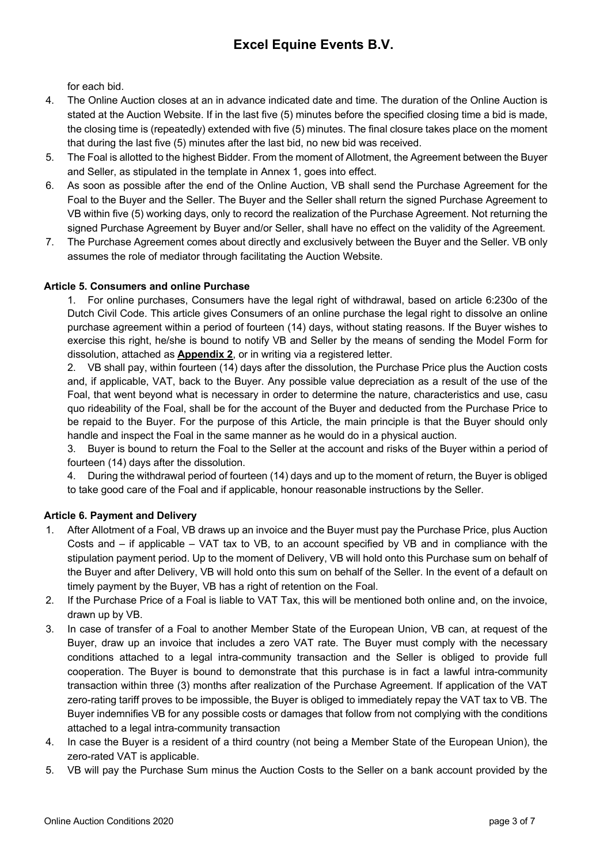for each bid.

- 4. The Online Auction closes at an in advance indicated date and time. The duration of the Online Auction is stated at the Auction Website. If in the last five (5) minutes before the specified closing time a bid is made, the closing time is (repeatedly) extended with five (5) minutes. The final closure takes place on the moment that during the last five (5) minutes after the last bid, no new bid was received.
- 5. The Foal is allotted to the highest Bidder. From the moment of Allotment, the Agreement between the Buyer and Seller, as stipulated in the template in Annex 1, goes into effect.
- 6. As soon as possible after the end of the Online Auction, VB shall send the Purchase Agreement for the Foal to the Buyer and the Seller. The Buyer and the Seller shall return the signed Purchase Agreement to VB within five (5) working days, only to record the realization of the Purchase Agreement. Not returning the signed Purchase Agreement by Buyer and/or Seller, shall have no effect on the validity of the Agreement.
- 7. The Purchase Agreement comes about directly and exclusively between the Buyer and the Seller. VB only assumes the role of mediator through facilitating the Auction Website.

# **Article 5. Consumers and online Purchase**

1. For online purchases, Consumers have the legal right of withdrawal, based on article 6:230o of the Dutch Civil Code. This article gives Consumers of an online purchase the legal right to dissolve an online purchase agreement within a period of fourteen (14) days, without stating reasons. If the Buyer wishes to exercise this right, he/she is bound to notify VB and Seller by the means of sending the Model Form for dissolution, attached as **Appendix 2**, or in writing via a registered letter.

2. VB shall pay, within fourteen (14) days after the dissolution, the Purchase Price plus the Auction costs and, if applicable, VAT, back to the Buyer. Any possible value depreciation as a result of the use of the Foal, that went beyond what is necessary in order to determine the nature, characteristics and use, casu quo rideability of the Foal, shall be for the account of the Buyer and deducted from the Purchase Price to be repaid to the Buyer. For the purpose of this Article, the main principle is that the Buyer should only handle and inspect the Foal in the same manner as he would do in a physical auction.

3. Buyer is bound to return the Foal to the Seller at the account and risks of the Buyer within a period of fourteen (14) days after the dissolution.

4. During the withdrawal period of fourteen (14) days and up to the moment of return, the Buyer is obliged to take good care of the Foal and if applicable, honour reasonable instructions by the Seller.

# **Article 6. Payment and Delivery**

- After Allotment of a Foal, VB draws up an invoice and the Buyer must pay the Purchase Price, plus Auction Costs and – if applicable – VAT tax to VB, to an account specified by VB and in compliance with the stipulation payment period. Up to the moment of Delivery, VB will hold onto this Purchase sum on behalf of the Buyer and after Delivery, VB will hold onto this sum on behalf of the Seller. In the event of a default on timely payment by the Buyer, VB has a right of retention on the Foal.
- 2. If the Purchase Price of a Foal is liable to VAT Tax, this will be mentioned both online and, on the invoice, drawn up by VB.
- 3. In case of transfer of a Foal to another Member State of the European Union, VB can, at request of the Buyer, draw up an invoice that includes a zero VAT rate. The Buyer must comply with the necessary conditions attached to a legal intra-community transaction and the Seller is obliged to provide full cooperation. The Buyer is bound to demonstrate that this purchase is in fact a lawful intra-community transaction within three (3) months after realization of the Purchase Agreement. If application of the VAT zero-rating tariff proves to be impossible, the Buyer is obliged to immediately repay the VAT tax to VB. The Buyer indemnifies VB for any possible costs or damages that follow from not complying with the conditions attached to a legal intra-community transaction
- 4. In case the Buyer is a resident of a third country (not being a Member State of the European Union), the zero-rated VAT is applicable.
- 5. VB will pay the Purchase Sum minus the Auction Costs to the Seller on a bank account provided by the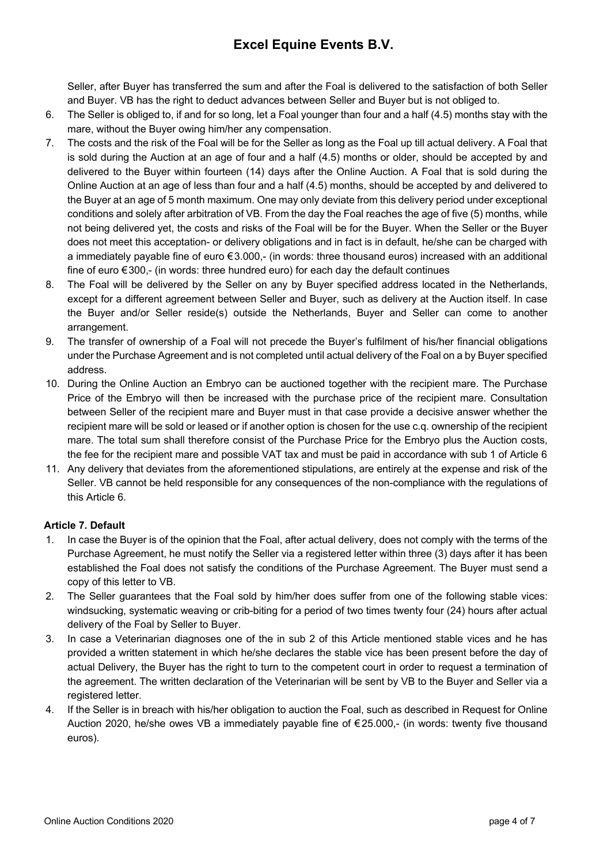Seller, after Buyer has transferred the sum and after the Foal is delivered to the satisfaction of both Seller and Buyer. VB has the right to deduct advances between Seller and Buyer but is not obliged to.

- 6. The Seller is obliged to, if and for so long, let a Foal younger than four and a half (4.5) months stay with the mare, without the Buyer owing him/her any compensation.
- 7. The costs and the risk of the Foal will be for the Seller as long as the Foal up till actual delivery. A Foal that is sold during the Auction at an age of four and a half (4.5) months or older, should be accepted by and delivered to the Buyer within fourteen (14) days after the Online Auction. A Foal that is sold during the Online Auction at an age of less than four and a half (4.5) months, should be accepted by and delivered to the Buyer at an age of 5 month maximum. One may only deviate from this delivery period under exceptional conditions and solely after arbitration of VB. From the day the Foal reaches the age of five (5) months, while not being delivered yet, the costs and risks of the Foal will be for the Buyer. When the Seller or the Buyer does not meet this acceptation- or delivery obligations and in fact is in default, he/she can be charged with a immediately payable fine of euro €3.000,- (in words: three thousand euros) increased with an additional fine of euro €300,- (in words: three hundred euro) for each day the default continues
- 8. The Foal will be delivered by the Seller on any by Buyer specified address located in the Netherlands, except for a different agreement between Seller and Buyer, such as delivery at the Auction itself. In case the Buyer and/or Seller reside(s) outside the Netherlands, Buyer and Seller can come to another arrangement.
- 9. The transfer of ownership of a Foal will not precede the Buyer's fulfilment of his/her financial obligations under the Purchase Agreement and is not completed until actual delivery of the Foal on a by Buyer specified address.
- 10. During the Online Auction an Embryo can be auctioned together with the recipient mare. The Purchase Price of the Embryo will then be increased with the purchase price of the recipient mare. Consultation between Seller of the recipient mare and Buyer must in that case provide a decisive answer whether the recipient mare will be sold or leased or if another option is chosen for the use c.q. ownership of the recipient mare. The total sum shall therefore consist of the Purchase Price for the Embryo plus the Auction costs, the fee for the recipient mare and possible VAT tax and must be paid in accordance with sub 1 of Article 6
- 11. Any delivery that deviates from the aforementioned stipulations, are entirely at the expense and risk of the Seller. VB cannot be held responsible for any consequences of the non-compliance with the regulations of this Article 6.

# **Article 7. Default**

- 1. In case the Buyer is of the opinion that the Foal, after actual delivery, does not comply with the terms of the Purchase Agreement, he must notify the Seller via a registered letter within three (3) days after it has been established the Foal does not satisfy the conditions of the Purchase Agreement. The Buyer must send a copy of this letter to VB.
- 2. The Seller guarantees that the Foal sold by him/her does suffer from one of the following stable vices: windsucking, systematic weaving or crib-biting for a period of two times twenty four (24) hours after actual delivery of the Foal by Seller to Buyer.
- 3. In case a Veterinarian diagnoses one of the in sub 2 of this Article mentioned stable vices and he has provided a written statement in which he/she declares the stable vice has been present before the day of actual Delivery, the Buyer has the right to turn to the competent court in order to request a termination of the agreement. The written declaration of the Veterinarian will be sent by VB to the Buyer and Seller via a registered letter.
- 4. If the Seller is in breach with his/her obligation to auction the Foal, such as described in Request for Online Auction 2020, he/she owes VB a immediately payable fine of € 25.000,- (in words: twenty five thousand euros).